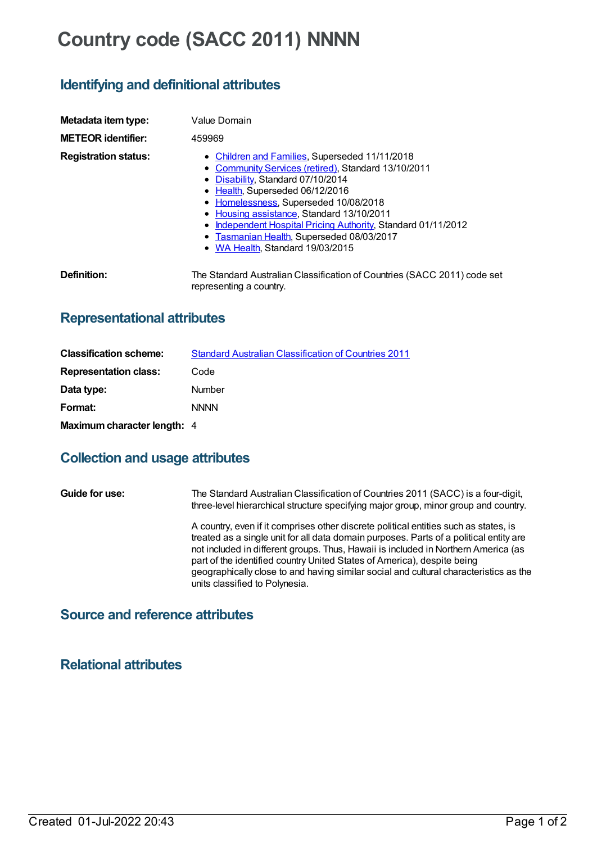# **Country code (SACC 2011) NNNN**

# **Identifying and definitional attributes**

| Metadata item type:<br><b>METEOR identifier:</b> | Value Domain<br>459969                                                                                                                                                                                                                                                                                                                                                                                                   |
|--------------------------------------------------|--------------------------------------------------------------------------------------------------------------------------------------------------------------------------------------------------------------------------------------------------------------------------------------------------------------------------------------------------------------------------------------------------------------------------|
| <b>Registration status:</b>                      | • Children and Families, Superseded 11/11/2018<br>• Community Services (retired), Standard 13/10/2011<br>• Disability, Standard 07/10/2014<br>• Health, Superseded 06/12/2016<br>• Homelessness, Superseded 10/08/2018<br>• Housing assistance, Standard 13/10/2011<br>Independent Hospital Pricing Authority, Standard 01/11/2012<br>٠<br>• Tasmanian Health, Superseded 08/03/2017<br>• WA Health, Standard 19/03/2015 |
| Definition:                                      | The Standard Australian Classification of Countries (SACC 2011) code set<br>representing a country.                                                                                                                                                                                                                                                                                                                      |

### **Representational attributes**

| <b>Classification scheme:</b> | <b>Standard Australian Classification of Countries 2011</b> |
|-------------------------------|-------------------------------------------------------------|
| <b>Representation class:</b>  | Code                                                        |
| Data type:                    | <b>Number</b>                                               |
| Format:                       | <b>NNNN</b>                                                 |
| Maximum character length: 4   |                                                             |

#### **Collection and usage attributes**

**Guide for use:** The Standard Australian Classification of Countries 2011 (SACC) is a four-digit, three-level hierarchical structure specifying major group, minor group and country. A country, even if it comprises other discrete political entities such as states, is treated as a single unit for all data domain purposes. Parts of a political entity are not included in different groups. Thus, Hawaii is included in Northern America (as part of the identified country United States of America), despite being geographically close to and having similar social and cultural characteristics as the units classified to Polynesia.

## **Source and reference attributes**

**Relational attributes**